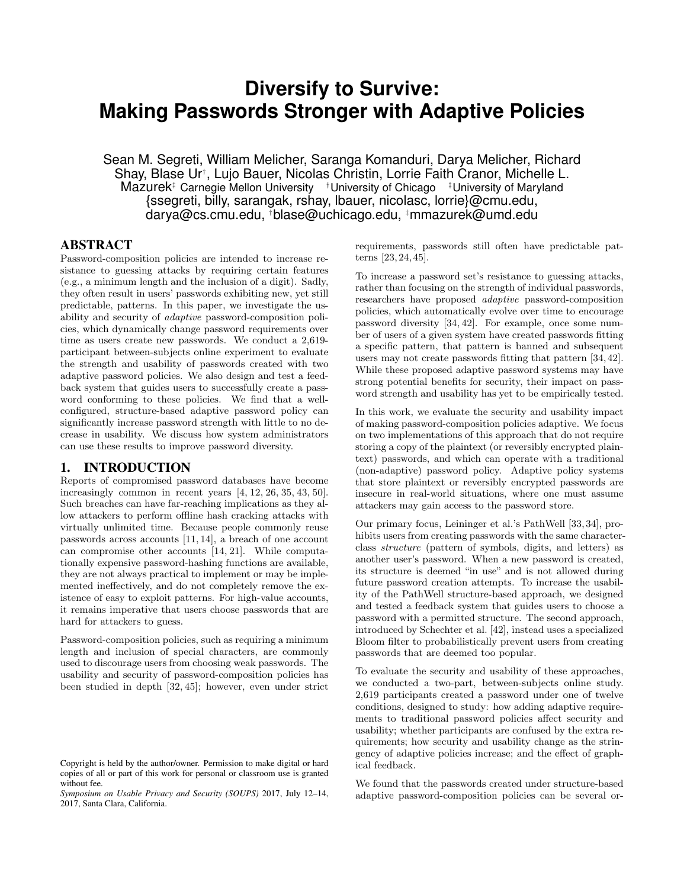# **Diversify to Survive: Making Passwords Stronger with Adaptive Policies**

Sean M. Segreti, William Melicher, Saranga Komanduri, Darya Melicher, Richard Shay, Blase Ur† , Lujo Bauer, Nicolas Christin, Lorrie Faith Cranor, Michelle L. Mazurek $\ddagger$  Carnegie Mellon University  $\ddagger$ University of Chicago  $\ddagger$ University of Maryland {ssegreti, billy, sarangak, rshay, lbauer, nicolasc, lorrie}@cmu.edu, darya@cs.cmu.edu, †blase@uchicago.edu, ‡mmazurek@umd.edu

#### ABSTRACT

Password-composition policies are intended to increase resistance to guessing attacks by requiring certain features (e.g., a minimum length and the inclusion of a digit). Sadly, they often result in users' passwords exhibiting new, yet still predictable, patterns. In this paper, we investigate the usability and security of adaptive password-composition policies, which dynamically change password requirements over time as users create new passwords. We conduct a 2,619 participant between-subjects online experiment to evaluate the strength and usability of passwords created with two adaptive password policies. We also design and test a feedback system that guides users to successfully create a password conforming to these policies. We find that a wellconfigured, structure-based adaptive password policy can significantly increase password strength with little to no decrease in usability. We discuss how system administrators can use these results to improve password diversity.

## 1. INTRODUCTION

Reports of compromised password databases have become increasingly common in recent years [4, 12, 26, 35, 43, 50]. Such breaches can have far-reaching implications as they allow attackers to perform offline hash cracking attacks with virtually unlimited time. Because people commonly reuse passwords across accounts [11, 14], a breach of one account can compromise other accounts [14, 21]. While computationally expensive password-hashing functions are available, they are not always practical to implement or may be implemented ineffectively, and do not completely remove the existence of easy to exploit patterns. For high-value accounts, it remains imperative that users choose passwords that are hard for attackers to guess.

Password-composition policies, such as requiring a minimum length and inclusion of special characters, are commonly used to discourage users from choosing weak passwords. The usability and security of password-composition policies has been studied in depth [32, 45]; however, even under strict

requirements, passwords still often have predictable patterns [23, 24, 45].

To increase a password set's resistance to guessing attacks, rather than focusing on the strength of individual passwords, researchers have proposed adaptive password-composition policies, which automatically evolve over time to encourage password diversity [34, 42]. For example, once some number of users of a given system have created passwords fitting a specific pattern, that pattern is banned and subsequent users may not create passwords fitting that pattern [34, 42]. While these proposed adaptive password systems may have strong potential benefits for security, their impact on password strength and usability has yet to be empirically tested.

In this work, we evaluate the security and usability impact of making password-composition policies adaptive. We focus on two implementations of this approach that do not require storing a copy of the plaintext (or reversibly encrypted plaintext) passwords, and which can operate with a traditional (non-adaptive) password policy. Adaptive policy systems that store plaintext or reversibly encrypted passwords are insecure in real-world situations, where one must assume attackers may gain access to the password store.

Our primary focus, Leininger et al.'s PathWell [33, 34], prohibits users from creating passwords with the same characterclass structure (pattern of symbols, digits, and letters) as another user's password. When a new password is created, its structure is deemed "in use" and is not allowed during future password creation attempts. To increase the usability of the PathWell structure-based approach, we designed and tested a feedback system that guides users to choose a password with a permitted structure. The second approach, introduced by Schechter et al. [42], instead uses a specialized Bloom filter to probabilistically prevent users from creating passwords that are deemed too popular.

To evaluate the security and usability of these approaches, we conducted a two-part, between-subjects online study. 2,619 participants created a password under one of twelve conditions, designed to study: how adding adaptive requirements to traditional password policies affect security and usability; whether participants are confused by the extra requirements; how security and usability change as the stringency of adaptive policies increase; and the effect of graphical feedback.

We found that the passwords created under structure-based adaptive password-composition policies can be several or-

Copyright is held by the author/owner. Permission to make digital or hard copies of all or part of this work for personal or classroom use is granted without fee.

*Symposium on Usable Privacy and Security (SOUPS)* 2017, July 12–14, 2017, Santa Clara, California.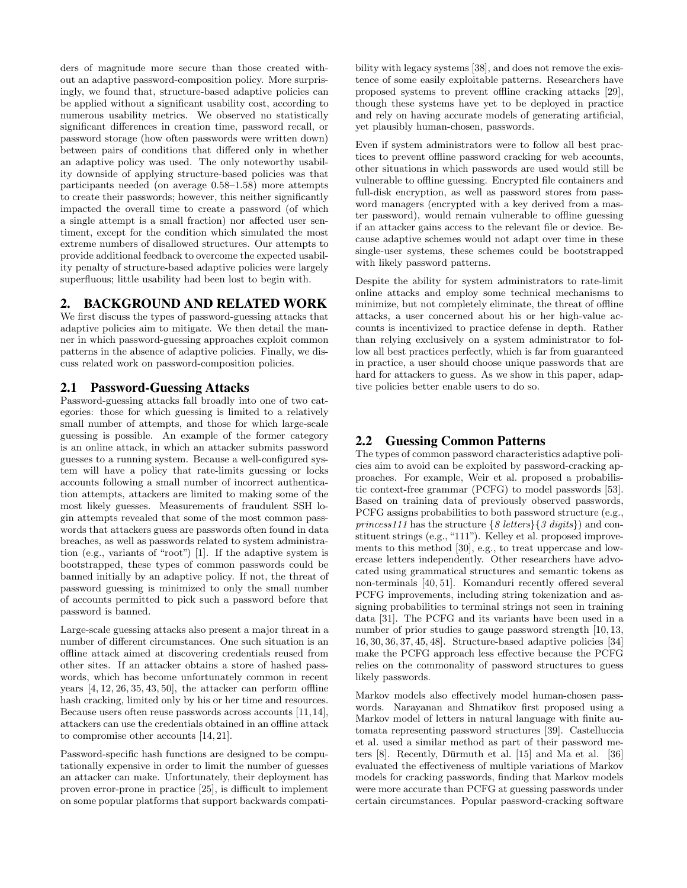ders of magnitude more secure than those created without an adaptive password-composition policy. More surprisingly, we found that, structure-based adaptive policies can be applied without a significant usability cost, according to numerous usability metrics. We observed no statistically significant differences in creation time, password recall, or password storage (how often passwords were written down) between pairs of conditions that differed only in whether an adaptive policy was used. The only noteworthy usability downside of applying structure-based policies was that participants needed (on average 0.58–1.58) more attempts to create their passwords; however, this neither significantly impacted the overall time to create a password (of which a single attempt is a small fraction) nor affected user sentiment, except for the condition which simulated the most extreme numbers of disallowed structures. Our attempts to provide additional feedback to overcome the expected usability penalty of structure-based adaptive policies were largely superfluous; little usability had been lost to begin with.

## 2. BACKGROUND AND RELATED WORK

We first discuss the types of password-guessing attacks that adaptive policies aim to mitigate. We then detail the manner in which password-guessing approaches exploit common patterns in the absence of adaptive policies. Finally, we discuss related work on password-composition policies.

## 2.1 Password-Guessing Attacks

Password-guessing attacks fall broadly into one of two categories: those for which guessing is limited to a relatively small number of attempts, and those for which large-scale guessing is possible. An example of the former category is an online attack, in which an attacker submits password guesses to a running system. Because a well-configured system will have a policy that rate-limits guessing or locks accounts following a small number of incorrect authentication attempts, attackers are limited to making some of the most likely guesses. Measurements of fraudulent SSH login attempts revealed that some of the most common passwords that attackers guess are passwords often found in data breaches, as well as passwords related to system administration (e.g., variants of "root") [1]. If the adaptive system is bootstrapped, these types of common passwords could be banned initially by an adaptive policy. If not, the threat of password guessing is minimized to only the small number of accounts permitted to pick such a password before that password is banned.

Large-scale guessing attacks also present a major threat in a number of different circumstances. One such situation is an offline attack aimed at discovering credentials reused from other sites. If an attacker obtains a store of hashed passwords, which has become unfortunately common in recent years  $[4, 12, 26, 35, 43, 50]$ , the attacker can perform offline hash cracking, limited only by his or her time and resources. Because users often reuse passwords across accounts [11,14], attackers can use the credentials obtained in an offline attack to compromise other accounts [14, 21].

Password-specific hash functions are designed to be computationally expensive in order to limit the number of guesses an attacker can make. Unfortunately, their deployment has proven error-prone in practice [25], is difficult to implement on some popular platforms that support backwards compatibility with legacy systems [38], and does not remove the existence of some easily exploitable patterns. Researchers have proposed systems to prevent offline cracking attacks [29], though these systems have yet to be deployed in practice and rely on having accurate models of generating artificial, yet plausibly human-chosen, passwords.

Even if system administrators were to follow all best practices to prevent offline password cracking for web accounts, other situations in which passwords are used would still be vulnerable to offline guessing. Encrypted file containers and full-disk encryption, as well as password stores from password managers (encrypted with a key derived from a master password), would remain vulnerable to offline guessing if an attacker gains access to the relevant file or device. Because adaptive schemes would not adapt over time in these single-user systems, these schemes could be bootstrapped with likely password patterns.

Despite the ability for system administrators to rate-limit online attacks and employ some technical mechanisms to minimize, but not completely eliminate, the threat of offline attacks, a user concerned about his or her high-value accounts is incentivized to practice defense in depth. Rather than relying exclusively on a system administrator to follow all best practices perfectly, which is far from guaranteed in practice, a user should choose unique passwords that are hard for attackers to guess. As we show in this paper, adaptive policies better enable users to do so.

# 2.2 Guessing Common Patterns

The types of common password characteristics adaptive policies aim to avoid can be exploited by password-cracking approaches. For example, Weir et al. proposed a probabilistic context-free grammar (PCFG) to model passwords [53]. Based on training data of previously observed passwords, PCFG assigns probabilities to both password structure (e.g., princess111 has the structure  $\{8 \text{ letters} \} \{3 \text{ digits}\}\)$  and constituent strings (e.g., "111"). Kelley et al. proposed improvements to this method [30], e.g., to treat uppercase and lowercase letters independently. Other researchers have advocated using grammatical structures and semantic tokens as non-terminals [40, 51]. Komanduri recently offered several PCFG improvements, including string tokenization and assigning probabilities to terminal strings not seen in training data [31]. The PCFG and its variants have been used in a number of prior studies to gauge password strength [10, 13, 16, 30, 36, 37, 45, 48]. Structure-based adaptive policies [34] make the PCFG approach less effective because the PCFG relies on the commonality of password structures to guess likely passwords.

Markov models also effectively model human-chosen passwords. Narayanan and Shmatikov first proposed using a Markov model of letters in natural language with finite automata representing password structures [39]. Castelluccia et al. used a similar method as part of their password meters  $[8]$ . Recently, Dürmuth et al.  $[15]$  and Ma et al.  $[36]$ evaluated the effectiveness of multiple variations of Markov models for cracking passwords, finding that Markov models were more accurate than PCFG at guessing passwords under certain circumstances. Popular password-cracking software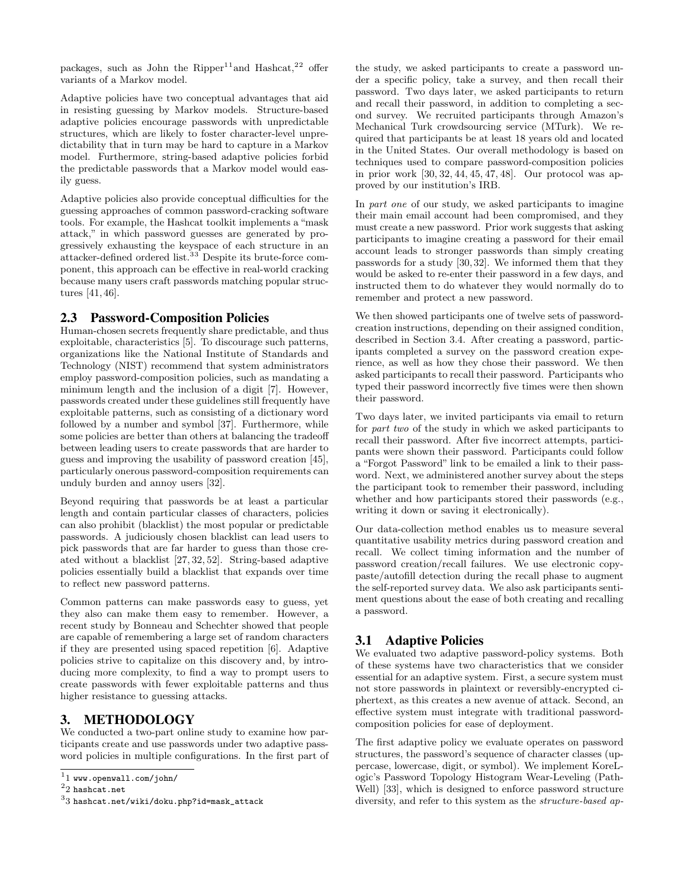packages, such as John the Ripper<sup>11</sup>and Hashcat,<sup>22</sup> offer variants of a Markov model.

Adaptive policies have two conceptual advantages that aid in resisting guessing by Markov models. Structure-based adaptive policies encourage passwords with unpredictable structures, which are likely to foster character-level unpredictability that in turn may be hard to capture in a Markov model. Furthermore, string-based adaptive policies forbid the predictable passwords that a Markov model would easily guess.

Adaptive policies also provide conceptual difficulties for the guessing approaches of common password-cracking software tools. For example, the Hashcat toolkit implements a "mask attack," in which password guesses are generated by progressively exhausting the keyspace of each structure in an attacker-defined ordered list.<sup>33</sup> Despite its brute-force component, this approach can be effective in real-world cracking because many users craft passwords matching popular structures [41, 46].

## 2.3 Password-Composition Policies

Human-chosen secrets frequently share predictable, and thus exploitable, characteristics [5]. To discourage such patterns, organizations like the National Institute of Standards and Technology (NIST) recommend that system administrators employ password-composition policies, such as mandating a minimum length and the inclusion of a digit [7]. However, passwords created under these guidelines still frequently have exploitable patterns, such as consisting of a dictionary word followed by a number and symbol [37]. Furthermore, while some policies are better than others at balancing the tradeoff between leading users to create passwords that are harder to guess and improving the usability of password creation [45], particularly onerous password-composition requirements can unduly burden and annoy users [32].

Beyond requiring that passwords be at least a particular length and contain particular classes of characters, policies can also prohibit (blacklist) the most popular or predictable passwords. A judiciously chosen blacklist can lead users to pick passwords that are far harder to guess than those created without a blacklist [27, 32, 52]. String-based adaptive policies essentially build a blacklist that expands over time to reflect new password patterns.

Common patterns can make passwords easy to guess, yet they also can make them easy to remember. However, a recent study by Bonneau and Schechter showed that people are capable of remembering a large set of random characters if they are presented using spaced repetition [6]. Adaptive policies strive to capitalize on this discovery and, by introducing more complexity, to find a way to prompt users to create passwords with fewer exploitable patterns and thus higher resistance to guessing attacks.

# 3. METHODOLOGY

We conducted a two-part online study to examine how participants create and use passwords under two adaptive password policies in multiple configurations. In the first part of the study, we asked participants to create a password under a specific policy, take a survey, and then recall their password. Two days later, we asked participants to return and recall their password, in addition to completing a second survey. We recruited participants through Amazon's Mechanical Turk crowdsourcing service (MTurk). We required that participants be at least 18 years old and located in the United States. Our overall methodology is based on techniques used to compare password-composition policies in prior work [30, 32, 44, 45, 47, 48]. Our protocol was approved by our institution's IRB.

In part one of our study, we asked participants to imagine their main email account had been compromised, and they must create a new password. Prior work suggests that asking participants to imagine creating a password for their email account leads to stronger passwords than simply creating passwords for a study [30, 32]. We informed them that they would be asked to re-enter their password in a few days, and instructed them to do whatever they would normally do to remember and protect a new password.

We then showed participants one of twelve sets of passwordcreation instructions, depending on their assigned condition, described in Section 3.4. After creating a password, participants completed a survey on the password creation experience, as well as how they chose their password. We then asked participants to recall their password. Participants who typed their password incorrectly five times were then shown their password.

Two days later, we invited participants via email to return for part two of the study in which we asked participants to recall their password. After five incorrect attempts, participants were shown their password. Participants could follow a "Forgot Password" link to be emailed a link to their password. Next, we administered another survey about the steps the participant took to remember their password, including whether and how participants stored their passwords (e.g., writing it down or saving it electronically).

Our data-collection method enables us to measure several quantitative usability metrics during password creation and recall. We collect timing information and the number of password creation/recall failures. We use electronic copypaste/autofill detection during the recall phase to augment the self-reported survey data. We also ask participants sentiment questions about the ease of both creating and recalling a password.

# 3.1 Adaptive Policies

We evaluated two adaptive password-policy systems. Both of these systems have two characteristics that we consider essential for an adaptive system. First, a secure system must not store passwords in plaintext or reversibly-encrypted ciphertext, as this creates a new avenue of attack. Second, an effective system must integrate with traditional passwordcomposition policies for ease of deployment.

The first adaptive policy we evaluate operates on password structures, the password's sequence of character classes (uppercase, lowercase, digit, or symbol). We implement KoreLogic's Password Topology Histogram Wear-Leveling (Path-Well) [33], which is designed to enforce password structure diversity, and refer to this system as the *structure-based ap-*

 $1$  www.openwall.com/john/

 $^{2}$ 2 hashcat.net

 $^33$  hashcat.net/wiki/doku.php?id=mask\_attack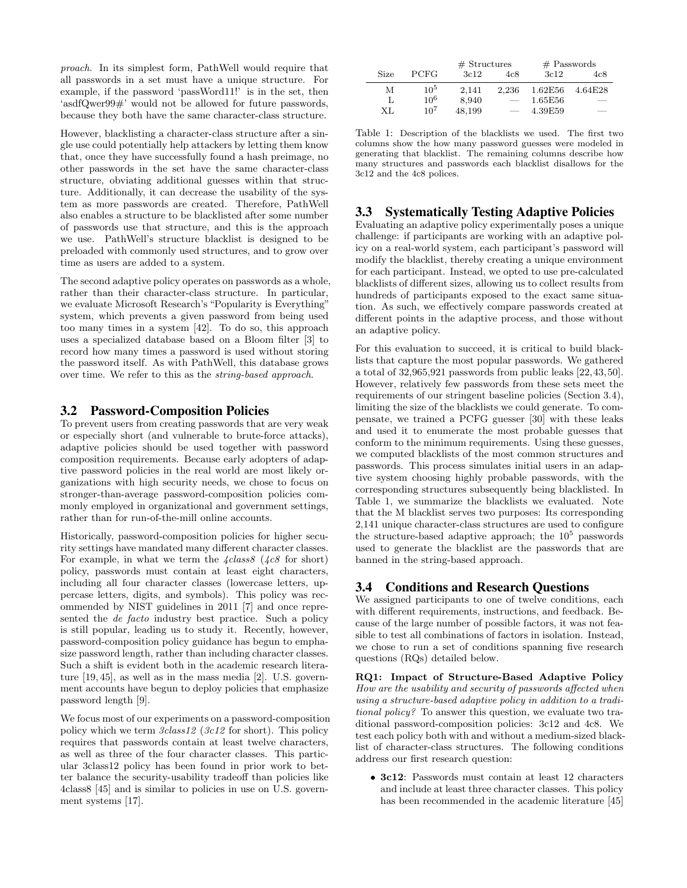proach. In its simplest form, PathWell would require that all passwords in a set must have a unique structure. For example, if the password 'passWord11!' is in the set, then 'asdfQwer99#' would not be allowed for future passwords, because they both have the same character-class structure.

However, blacklisting a character-class structure after a single use could potentially help attackers by letting them know that, once they have successfully found a hash preimage, no other passwords in the set have the same character-class structure, obviating additional guesses within that structure. Additionally, it can decrease the usability of the system as more passwords are created. Therefore, PathWell also enables a structure to be blacklisted after some number of passwords use that structure, and this is the approach we use. PathWell's structure blacklist is designed to be preloaded with commonly used structures, and to grow over time as users are added to a system.

The second adaptive policy operates on passwords as a whole, rather than their character-class structure. In particular, we evaluate Microsoft Research's "Popularity is Everything" system, which prevents a given password from being used too many times in a system [42]. To do so, this approach uses a specialized database based on a Bloom filter [3] to record how many times a password is used without storing the password itself. As with PathWell, this database grows over time. We refer to this as the string-based approach.

#### 3.2 Password-Composition Policies

To prevent users from creating passwords that are very weak or especially short (and vulnerable to brute-force attacks), adaptive policies should be used together with password composition requirements. Because early adopters of adaptive password policies in the real world are most likely organizations with high security needs, we chose to focus on stronger-than-average password-composition policies commonly employed in organizational and government settings, rather than for run-of-the-mill online accounts.

Historically, password-composition policies for higher security settings have mandated many different character classes. For example, in what we term the  $\text{\textless} 2 \text{ class } 8$  ( $\text{\textless} 8$  for short) policy, passwords must contain at least eight characters, including all four character classes (lowercase letters, uppercase letters, digits, and symbols). This policy was recommended by NIST guidelines in 2011 [7] and once represented the de facto industry best practice. Such a policy is still popular, leading us to study it. Recently, however, password-composition policy guidance has begun to emphasize password length, rather than including character classes. Such a shift is evident both in the academic research literature [19, 45], as well as in the mass media [2]. U.S. government accounts have begun to deploy policies that emphasize password length [9].

We focus most of our experiments on a password-composition policy which we term 3class12 (3c12 for short). This policy requires that passwords contain at least twelve characters, as well as three of the four character classes. This particular 3class12 policy has been found in prior work to better balance the security-usability tradeoff than policies like 4class8 [45] and is similar to policies in use on U.S. government systems [17].

|      |             | $#$ Structures |                          | $#$ Passwords |         |  |  |
|------|-------------|----------------|--------------------------|---------------|---------|--|--|
| Size | <b>PCFG</b> | 3c12           | 4c8                      | 3c12          | 4c8     |  |  |
| М    | $10^{5}$    | 2.141          | 2.236                    | 1.62E56       | 4.64E28 |  |  |
| L    | $10^{6}$    | 8,940          | $\overline{\phantom{a}}$ | 1.65E56       | __      |  |  |
| XL   | $10^{7}$    | 48,199         |                          | 4.39E59       |         |  |  |

Table 1: Description of the blacklists we used. The first two columns show the how many password guesses were modeled in generating that blacklist. The remaining columns describe how many structures and passwords each blacklist disallows for the 3c12 and the 4c8 polices.

#### 3.3 Systematically Testing Adaptive Policies

Evaluating an adaptive policy experimentally poses a unique challenge: if participants are working with an adaptive policy on a real-world system, each participant's password will modify the blacklist, thereby creating a unique environment for each participant. Instead, we opted to use pre-calculated blacklists of different sizes, allowing us to collect results from hundreds of participants exposed to the exact same situation. As such, we effectively compare passwords created at different points in the adaptive process, and those without an adaptive policy.

For this evaluation to succeed, it is critical to build blacklists that capture the most popular passwords. We gathered a total of 32,965,921 passwords from public leaks [22,43,50]. However, relatively few passwords from these sets meet the requirements of our stringent baseline policies (Section 3.4), limiting the size of the blacklists we could generate. To compensate, we trained a PCFG guesser [30] with these leaks and used it to enumerate the most probable guesses that conform to the minimum requirements. Using these guesses, we computed blacklists of the most common structures and passwords. This process simulates initial users in an adaptive system choosing highly probable passwords, with the corresponding structures subsequently being blacklisted. In Table 1, we summarize the blacklists we evaluated. Note that the M blacklist serves two purposes: Its corresponding 2,141 unique character-class structures are used to configure the structure-based adaptive approach; the  $10^5$  passwords used to generate the blacklist are the passwords that are banned in the string-based approach.

## 3.4 Conditions and Research Questions

We assigned participants to one of twelve conditions, each with different requirements, instructions, and feedback. Because of the large number of possible factors, it was not feasible to test all combinations of factors in isolation. Instead, we chose to run a set of conditions spanning five research questions (RQs) detailed below.

RQ1: Impact of Structure-Based Adaptive Policy How are the usability and security of passwords affected when using a structure-based adaptive policy in addition to a traditional policy? To answer this question, we evaluate two traditional password-composition policies: 3c12 and 4c8. We test each policy both with and without a medium-sized blacklist of character-class structures. The following conditions address our first research question:

• 3c12: Passwords must contain at least 12 characters and include at least three character classes. This policy has been recommended in the academic literature [45]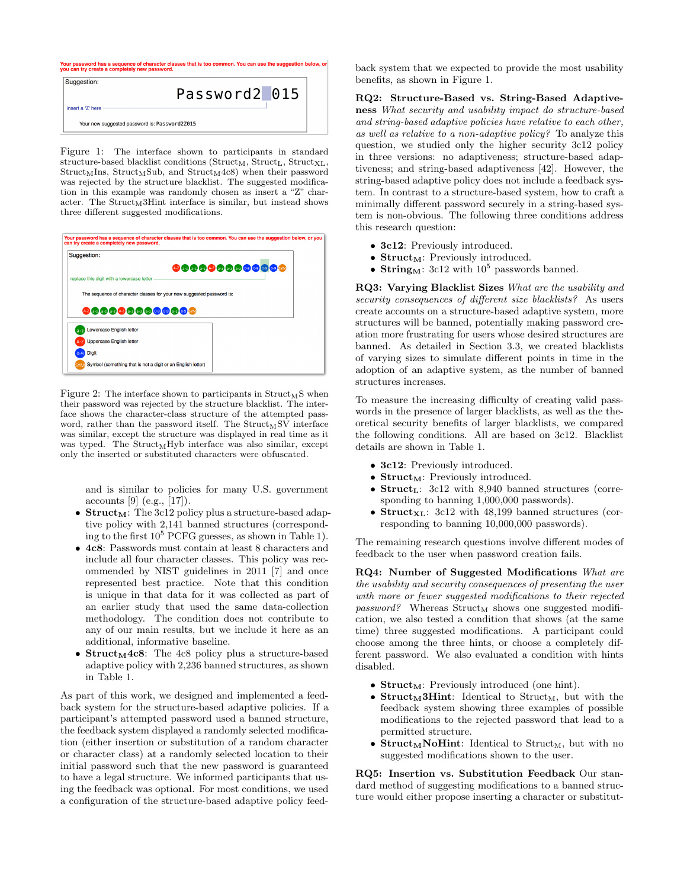

Figure 1: The interface shown to participants in standard structure-based blacklist conditions ( $Struct_M$ ,  $Struct_L$ ,  $Struct_{XL}$ ,  $Struct_MIns, Struct_MSub, and Struct_M4c8)$  when their password was rejected by the structure blacklist. The suggested modification in this example was randomly chosen as insert a "Z" character. The  $Struct_M3Hint$  interface is similar, but instead shows three different suggested modifications.



Figure 2: The interface shown to participants in  $Struct_MS$  when their password was rejected by the structure blacklist. The interface shows the character-class structure of the attempted password, rather than the password itself. The  $\text{Struct}_\mathbf{M}\bar{\mathbf{S}}\bar{\mathbf{V}}$  interface was similar, except the structure was displayed in real time as it was typed. The  $Struct_MHyb$  interface was also similar, except only the inserted or substituted characters were obfuscated.

and is similar to policies for many U.S. government accounts [9] (e.g., [17]).

- Struct<sub>M</sub>: The 3c12 policy plus a structure-based adaptive policy with 2,141 banned structures (corresponding to the first  $10^5$  PCFG guesses, as shown in Table 1).
- 4c8: Passwords must contain at least 8 characters and include all four character classes. This policy was recommended by NIST guidelines in 2011 [7] and once represented best practice. Note that this condition is unique in that data for it was collected as part of an earlier study that used the same data-collection methodology. The condition does not contribute to any of our main results, but we include it here as an additional, informative baseline.
- Struct<sub>M</sub>4c8: The 4c8 policy plus a structure-based adaptive policy with 2,236 banned structures, as shown in Table 1.

As part of this work, we designed and implemented a feedback system for the structure-based adaptive policies. If a participant's attempted password used a banned structure, the feedback system displayed a randomly selected modification (either insertion or substitution of a random character or character class) at a randomly selected location to their initial password such that the new password is guaranteed to have a legal structure. We informed participants that using the feedback was optional. For most conditions, we used a configuration of the structure-based adaptive policy feedback system that we expected to provide the most usability benefits, as shown in Figure 1.

RQ2: Structure-Based vs. String-Based Adaptiveness What security and usability impact do structure-based and string-based adaptive policies have relative to each other, as well as relative to a non-adaptive policy? To analyze this question, we studied only the higher security 3c12 policy in three versions: no adaptiveness; structure-based adaptiveness; and string-based adaptiveness [42]. However, the string-based adaptive policy does not include a feedback system. In contrast to a structure-based system, how to craft a minimally different password securely in a string-based system is non-obvious. The following three conditions address this research question:

- 3c12: Previously introduced.
- $Struct_M:$  Previously introduced.
- String<sub>M</sub>: 3c12 with  $10^5$  passwords banned.

RQ3: Varying Blacklist Sizes What are the usability and security consequences of different size blacklists? As users create accounts on a structure-based adaptive system, more structures will be banned, potentially making password creation more frustrating for users whose desired structures are banned. As detailed in Section 3.3, we created blacklists of varying sizes to simulate different points in time in the adoption of an adaptive system, as the number of banned structures increases.

To measure the increasing difficulty of creating valid passwords in the presence of larger blacklists, as well as the theoretical security benefits of larger blacklists, we compared the following conditions. All are based on 3c12. Blacklist details are shown in Table 1.

- 3c12: Previously introduced.
- $Struct_M:$  Previously introduced.
- Struct<sub>L</sub>: 3c12 with 8,940 banned structures (corresponding to banning 1,000,000 passwords).
- Struct<sub>XL</sub>: 3c12 with 48,199 banned structures (corresponding to banning 10,000,000 passwords).

The remaining research questions involve different modes of feedback to the user when password creation fails.

RQ4: Number of Suggested Modifications What are the usability and security consequences of presenting the user with more or fewer suggested modifications to their rejected  $password$ ? Whereas  $Struct_M$  shows one suggested modification, we also tested a condition that shows (at the same time) three suggested modifications. A participant could choose among the three hints, or choose a completely different password. We also evaluated a condition with hints disabled.

- $Struct_M: Previously introduced (one hint).$
- Struct<sub>M</sub>3Hint: Identical to Struct<sub>M</sub>, but with the feedback system showing three examples of possible modifications to the rejected password that lead to a permitted structure.
- Struct<sub>M</sub>NoHint: Identical to Struct<sub>M</sub>, but with no suggested modifications shown to the user.

RQ5: Insertion vs. Substitution Feedback Our standard method of suggesting modifications to a banned structure would either propose inserting a character or substitut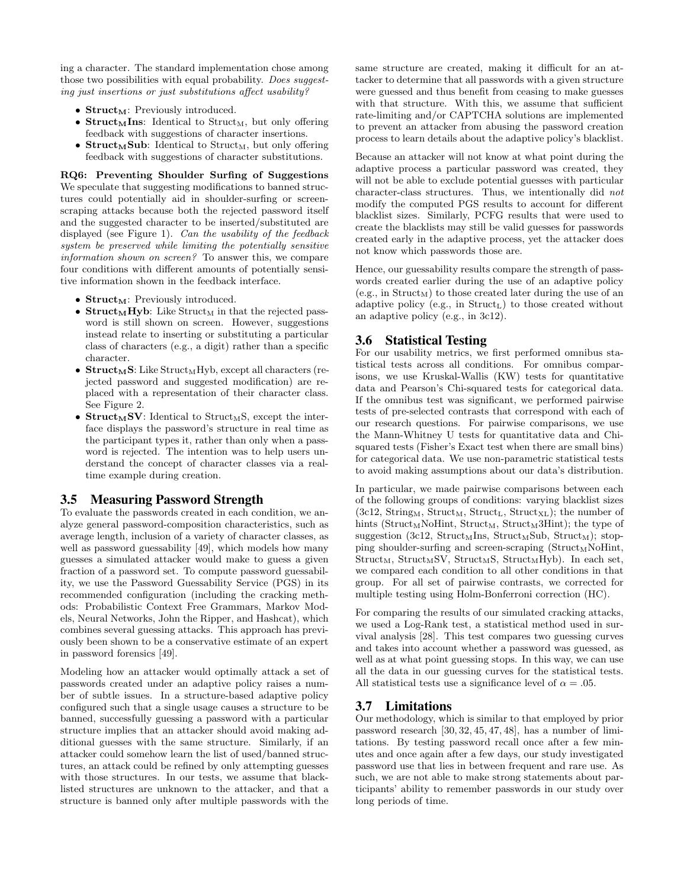ing a character. The standard implementation chose among those two possibilities with equal probability. Does suggesting just insertions or just substitutions affect usability?

- $Struct_M:$  Previously introduced.
- Struct<sub>M</sub>Ins: Identical to Struct<sub>M</sub>, but only offering feedback with suggestions of character insertions.
- Struct<sub>M</sub>Sub: Identical to Struct<sub>M</sub>, but only offering feedback with suggestions of character substitutions.

RQ6: Preventing Shoulder Surfing of Suggestions We speculate that suggesting modifications to banned structures could potentially aid in shoulder-surfing or screenscraping attacks because both the rejected password itself and the suggested character to be inserted/substituted are displayed (see Figure 1). *Can the usability of the feedback* system be preserved while limiting the potentially sensitive information shown on screen? To answer this, we compare four conditions with different amounts of potentially sensitive information shown in the feedback interface.

- Struct<sub>M</sub>: Previously introduced.
- Struct<sub>M</sub>Hyb: Like Struct<sub>M</sub> in that the rejected password is still shown on screen. However, suggestions instead relate to inserting or substituting a particular class of characters (e.g., a digit) rather than a specific character.
- Struct<sub>M</sub>S: Like Struct<sub>M</sub>Hyb, except all characters (rejected password and suggested modification) are replaced with a representation of their character class. See Figure 2.
- Struct<sub>M</sub>SV: Identical to Struct<sub>M</sub>S, except the interface displays the password's structure in real time as the participant types it, rather than only when a password is rejected. The intention was to help users understand the concept of character classes via a realtime example during creation.

## 3.5 Measuring Password Strength

To evaluate the passwords created in each condition, we analyze general password-composition characteristics, such as average length, inclusion of a variety of character classes, as well as password guessability [49], which models how many guesses a simulated attacker would make to guess a given fraction of a password set. To compute password guessability, we use the Password Guessability Service (PGS) in its recommended configuration (including the cracking methods: Probabilistic Context Free Grammars, Markov Models, Neural Networks, John the Ripper, and Hashcat), which combines several guessing attacks. This approach has previously been shown to be a conservative estimate of an expert in password forensics [49].

Modeling how an attacker would optimally attack a set of passwords created under an adaptive policy raises a number of subtle issues. In a structure-based adaptive policy configured such that a single usage causes a structure to be banned, successfully guessing a password with a particular structure implies that an attacker should avoid making additional guesses with the same structure. Similarly, if an attacker could somehow learn the list of used/banned structures, an attack could be refined by only attempting guesses with those structures. In our tests, we assume that blacklisted structures are unknown to the attacker, and that a structure is banned only after multiple passwords with the same structure are created, making it difficult for an attacker to determine that all passwords with a given structure were guessed and thus benefit from ceasing to make guesses with that structure. With this, we assume that sufficient rate-limiting and/or CAPTCHA solutions are implemented to prevent an attacker from abusing the password creation process to learn details about the adaptive policy's blacklist.

Because an attacker will not know at what point during the adaptive process a particular password was created, they will not be able to exclude potential guesses with particular character-class structures. Thus, we intentionally did not modify the computed PGS results to account for different blacklist sizes. Similarly, PCFG results that were used to create the blacklists may still be valid guesses for passwords created early in the adaptive process, yet the attacker does not know which passwords those are.

Hence, our guessability results compare the strength of passwords created earlier during the use of an adaptive policy  $(e.g., in Struct<sub>M</sub>)$  to those created later during the use of an adaptive policy (e.g., in  $Struct<sub>L</sub>$ ) to those created without an adaptive policy (e.g., in 3c12).

## 3.6 Statistical Testing

For our usability metrics, we first performed omnibus statistical tests across all conditions. For omnibus comparisons, we use Kruskal-Wallis (KW) tests for quantitative data and Pearson's Chi-squared tests for categorical data. If the omnibus test was significant, we performed pairwise tests of pre-selected contrasts that correspond with each of our research questions. For pairwise comparisons, we use the Mann-Whitney U tests for quantitative data and Chisquared tests (Fisher's Exact test when there are small bins) for categorical data. We use non-parametric statistical tests to avoid making assumptions about our data's distribution.

In particular, we made pairwise comparisons between each of the following groups of conditions: varying blacklist sizes (3c12, String<sub>M</sub>, Struct<sub>M</sub>, Struct<sub>L</sub>, Struct<sub>XL</sub>); the number of hints ( $Struct_MNoHint$ ,  $Struct_M, Struct_M3Hint$ ); the type of suggestion (3c12,  $Struct_MIns$ ,  $Struct_MSub$ ,  $Struct_M$ ); stopping shoulder-surfing and screen-scraping ( $Struct_MNoHint$ ,  $Struct_M$ ,  $Struct_MSV$ ,  $Struct_MS$ ,  $Struct_MHyb$ ). In each set, we compared each condition to all other conditions in that group. For all set of pairwise contrasts, we corrected for multiple testing using Holm-Bonferroni correction (HC).

For comparing the results of our simulated cracking attacks, we used a Log-Rank test, a statistical method used in survival analysis [28]. This test compares two guessing curves and takes into account whether a password was guessed, as well as at what point guessing stops. In this way, we can use all the data in our guessing curves for the statistical tests. All statistical tests use a significance level of  $\alpha = .05$ .

## 3.7 Limitations

Our methodology, which is similar to that employed by prior password research [30, 32, 45, 47, 48], has a number of limitations. By testing password recall once after a few minutes and once again after a few days, our study investigated password use that lies in between frequent and rare use. As such, we are not able to make strong statements about participants' ability to remember passwords in our study over long periods of time.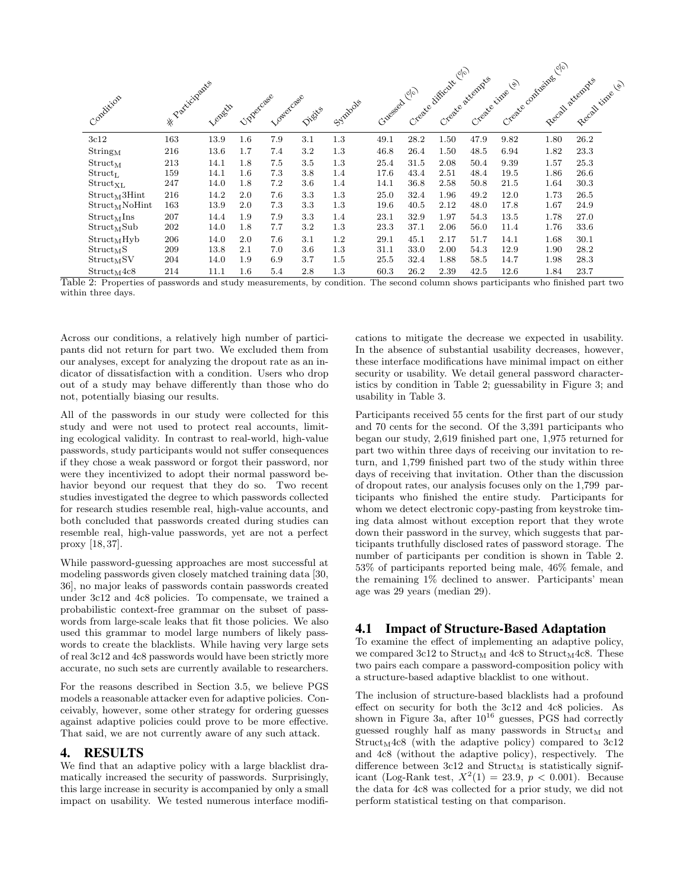| Condition        | H Participants | Length |         | Lowercase |     | Symbols | Gaesed (elo) |      | Create difficativeles | Create attendis | Create time (s) | Create contrains era | Recall attends<br>Recall time (4) |
|------------------|----------------|--------|---------|-----------|-----|---------|--------------|------|-----------------------|-----------------|-----------------|----------------------|-----------------------------------|
| 3c12             | 163            | 13.9   | $1.6\,$ | 7.9       | 3.1 | 1.3     | 49.1         | 28.2 | 1.50                  | 47.9            | 9.82            | 1.80                 | 26.2                              |
| $String_M$       | 216            | 13.6   | 1.7     | 7.4       | 3.2 | 1.3     | 46.8         | 26.4 | 1.50                  | 48.5            | 6.94            | 1.82                 | 23.3                              |
| $Struct_{M}$     | 213            | 14.1   | 1.8     | 7.5       | 3.5 | 1.3     | 25.4         | 31.5 | 2.08                  | 50.4            | 9.39            | 1.57                 | 25.3                              |
| $Struct_{L}$     | 159            | 14.1   | $1.6\,$ | 7.3       | 3.8 | 1.4     | 17.6         | 43.4 | 2.51                  | 48.4            | 19.5            | 1.86                 | 26.6                              |
| $Struct_{XL}$    | 247            | 14.0   | 1.8     | 7.2       | 3.6 | 1.4     | 14.1         | 36.8 | 2.58                  | 50.8            | 21.5            | 1.64                 | 30.3                              |
| $Struct_M3Hint$  | 216            | 14.2   | 2.0     | 7.6       | 3.3 | 1.3     | 25.0         | 32.4 | 1.96                  | 49.2            | 12.0            | 1.73                 | 26.5                              |
| $Struct_MNoHint$ | 163            | 13.9   | 2.0     | 7.3       | 3.3 | 1.3     | 19.6         | 40.5 | 2.12                  | 48.0            | 17.8            | 1.67                 | 24.9                              |
| StructMIns       | 207            | 14.4   | 1.9     | 7.9       | 3.3 | 1.4     | 23.1         | 32.9 | 1.97                  | 54.3            | 13.5            | 1.78                 | 27.0                              |
| $Struct_MSub$    | 202            | 14.0   | 1.8     | 7.7       | 3.2 | 1.3     | 23.3         | 37.1 | 2.06                  | 56.0            | 11.4            | 1.76                 | 33.6                              |
| $Struct_MHyb$    | 206            | 14.0   | 2.0     | 7.6       | 3.1 | 1.2     | 29.1         | 45.1 | 2.17                  | 51.7            | 14.1            | 1.68                 | 30.1                              |
| $Struct_{M}S$    | 209            | 13.8   | 2.1     | 7.0       | 3.6 | 1.3     | 31.1         | 33.0 | 2.00                  | 54.3            | 12.9            | 1.90                 | 28.2                              |
| $Struct_MSV$     | 204            | 14.0   | 1.9     | 6.9       | 3.7 | 1.5     | 25.5         | 32.4 | 1.88                  | 58.5            | 14.7            | 1.98                 | 28.3                              |
| $Struct_M4c8$    | 214            | 11.1   | 1.6     | 5.4       | 2.8 | 1.3     | 60.3         | 26.2 | 2.39                  | 42.5            | 12.6            | 1.84                 | 23.7                              |

Table 2: Properties of passwords and study measurements, by condition. The second column shows participants who finished part two within three days.

Across our conditions, a relatively high number of participants did not return for part two. We excluded them from our analyses, except for analyzing the dropout rate as an indicator of dissatisfaction with a condition. Users who drop out of a study may behave differently than those who do not, potentially biasing our results.

All of the passwords in our study were collected for this study and were not used to protect real accounts, limiting ecological validity. In contrast to real-world, high-value passwords, study participants would not suffer consequences if they chose a weak password or forgot their password, nor were they incentivized to adopt their normal password behavior beyond our request that they do so. Two recent studies investigated the degree to which passwords collected for research studies resemble real, high-value accounts, and both concluded that passwords created during studies can resemble real, high-value passwords, yet are not a perfect proxy [18, 37].

While password-guessing approaches are most successful at modeling passwords given closely matched training data [30, 36], no major leaks of passwords contain passwords created under 3c12 and 4c8 policies. To compensate, we trained a probabilistic context-free grammar on the subset of passwords from large-scale leaks that fit those policies. We also used this grammar to model large numbers of likely passwords to create the blacklists. While having very large sets of real 3c12 and 4c8 passwords would have been strictly more accurate, no such sets are currently available to researchers.

For the reasons described in Section 3.5, we believe PGS models a reasonable attacker even for adaptive policies. Conceivably, however, some other strategy for ordering guesses against adaptive policies could prove to be more effective. That said, we are not currently aware of any such attack.

## 4. RESULTS

We find that an adaptive policy with a large blacklist dramatically increased the security of passwords. Surprisingly, this large increase in security is accompanied by only a small impact on usability. We tested numerous interface modifications to mitigate the decrease we expected in usability. In the absence of substantial usability decreases, however, these interface modifications have minimal impact on either security or usability. We detail general password characteristics by condition in Table 2; guessability in Figure 3; and usability in Table 3.

Participants received 55 cents for the first part of our study and 70 cents for the second. Of the 3,391 participants who began our study, 2,619 finished part one, 1,975 returned for part two within three days of receiving our invitation to return, and 1,799 finished part two of the study within three days of receiving that invitation. Other than the discussion of dropout rates, our analysis focuses only on the 1,799 participants who finished the entire study. Participants for whom we detect electronic copy-pasting from keystroke timing data almost without exception report that they wrote down their password in the survey, which suggests that participants truthfully disclosed rates of password storage. The number of participants per condition is shown in Table 2. 53% of participants reported being male, 46% female, and the remaining 1% declined to answer. Participants' mean age was 29 years (median 29).

## 4.1 Impact of Structure-Based Adaptation

To examine the effect of implementing an adaptive policy, we compared 3c12 to  $Struct_M$  and 4c8 to  $Struct_M4c8$ . These two pairs each compare a password-composition policy with a structure-based adaptive blacklist to one without.

The inclusion of structure-based blacklists had a profound effect on security for both the 3c12 and 4c8 policies. As shown in Figure 3a, after  $10^{16}$  guesses, PGS had correctly guessed roughly half as many passwords in  $Struct_{M}$  and  $Struct_M4c8$  (with the adaptive policy) compared to 3c12 and 4c8 (without the adaptive policy), respectively. The difference between  $3c12$  and  $Struct_M$  is statistically significant (Log-Rank test,  $X^2(1) = 23.9, p < 0.001$ ). Because the data for 4c8 was collected for a prior study, we did not perform statistical testing on that comparison.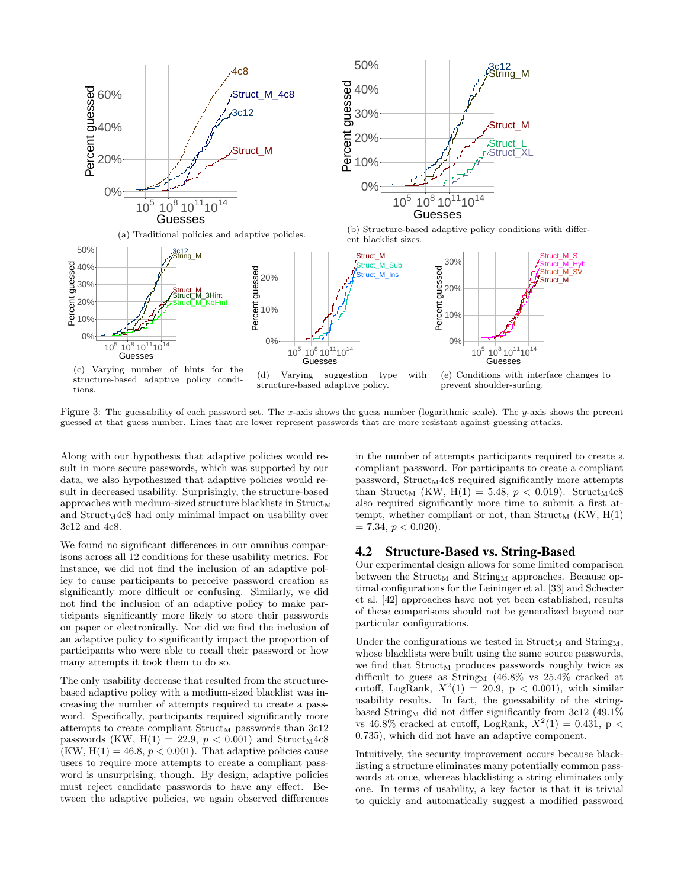



(a) Traditional policies and adaptive policies.

(b) Structure-based adaptive policy conditions with different blacklist sizes.



Figure 3: The guessability of each password set. The x-axis shows the guess number (logarithmic scale). The y-axis shows the percent guessed at that guess number. Lines that are lower represent passwords that are more resistant against guessing attacks.

Along with our hypothesis that adaptive policies would result in more secure passwords, which was supported by our data, we also hypothesized that adaptive policies would result in decreased usability. Surprisingly, the structure-based approaches with medium-sized structure blacklists in  $Struct_{M}$ and  $Struct_M4c8$  had only minimal impact on usability over 3c12 and 4c8.

We found no significant differences in our omnibus comparisons across all 12 conditions for these usability metrics. For instance, we did not find the inclusion of an adaptive policy to cause participants to perceive password creation as significantly more difficult or confusing. Similarly, we did not find the inclusion of an adaptive policy to make participants significantly more likely to store their passwords on paper or electronically. Nor did we find the inclusion of an adaptive policy to significantly impact the proportion of participants who were able to recall their password or how many attempts it took them to do so.

The only usability decrease that resulted from the structurebased adaptive policy with a medium-sized blacklist was increasing the number of attempts required to create a password. Specifically, participants required significantly more attempts to create compliant  $Struct_M$  passwords than  $3c12$ passwords (KW,  $H(1) = 22.9$ ,  $p < 0.001$ ) and Struct<sub>M</sub>4c8  $(KW, H(1) = 46.8, p < 0.001)$ . That adaptive policies cause users to require more attempts to create a compliant password is unsurprising, though. By design, adaptive policies must reject candidate passwords to have any effect. Between the adaptive policies, we again observed differences in the number of attempts participants required to create a compliant password. For participants to create a compliant password,  $Struct_M4c8$  required significantly more attempts than Struct<sub>M</sub> (KW, H(1) = 5.48,  $p < 0.019$ ). Struct<sub>M</sub>4c8 also required significantly more time to submit a first attempt, whether compliant or not, than  $Struct_M (KW, H(1))$  $= 7.34, p < 0.020$ ).

#### 4.2 Structure-Based vs. String-Based

Our experimental design allows for some limited comparison between the  $Struct_M$  and  $String_M$  approaches. Because optimal configurations for the Leininger et al. [33] and Schecter et al. [42] approaches have not yet been established, results of these comparisons should not be generalized beyond our particular configurations.

Under the configurations we tested in  $Struct_M$  and  $String_M$ , whose blacklists were built using the same source passwords, we find that  $Struct_M$  produces passwords roughly twice as difficult to guess as  $String_M$  (46.8% vs 25.4% cracked at cutoff, LogRank,  $X^2(1) = 20.9$ ,  $p < 0.001$ ), with similar usability results. In fact, the guessability of the stringbased String<sub>M</sub> did not differ significantly from  $3c12$  (49.1%) vs 46.8% cracked at cutoff, LogRank,  $X^2(1) = 0.431$ , p < 0.735), which did not have an adaptive component.

Intuitively, the security improvement occurs because blacklisting a structure eliminates many potentially common passwords at once, whereas blacklisting a string eliminates only one. In terms of usability, a key factor is that it is trivial to quickly and automatically suggest a modified password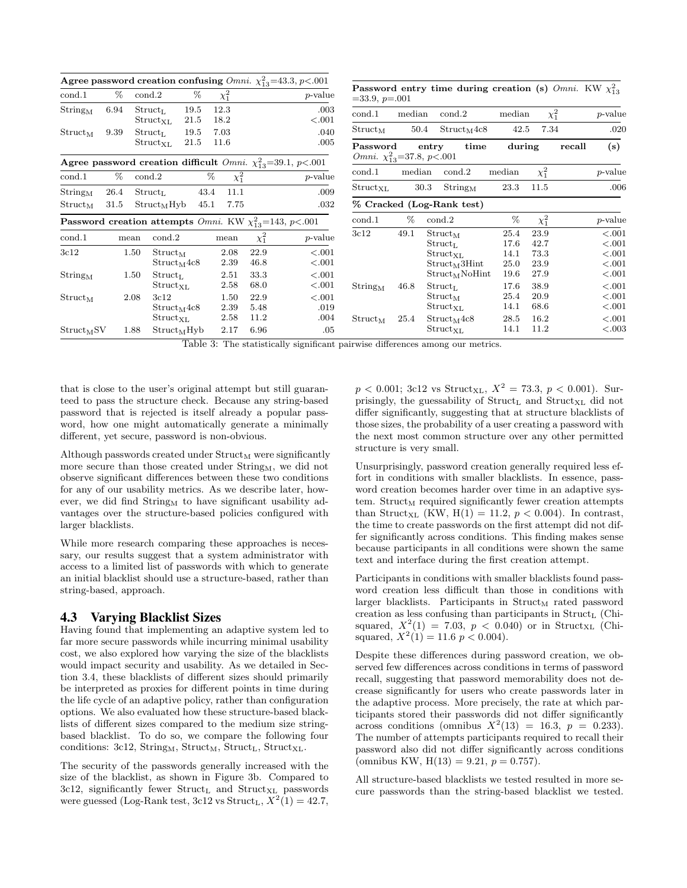|                     |      |                                      |                      |                 |            | Agree password creation confusing <i>Omni.</i> $\chi^2_{13}$ =43.3, p<.001 |                                                  |               |                                     |              |               |                                                                   |
|---------------------|------|--------------------------------------|----------------------|-----------------|------------|----------------------------------------------------------------------------|--------------------------------------------------|---------------|-------------------------------------|--------------|---------------|-------------------------------------------------------------------|
| cond.1              | %    | $\mathrm{cond.2}$                    | %                    | $\chi_1^2$      |            | $p$ -value                                                                 | $=$ 33.9, $p$ =.001                              |               |                                     |              |               | Password entry time during creation (s) $Omni$ . KW $\chi^2_{13}$ |
| String <sub>M</sub> | 6.94 | $Struct_{L}$<br>Struct <sub>XL</sub> | 19.5<br>21.5         | 12.3<br>18.2    |            | .003<br>< .001                                                             | $\mathrm{cond.1}$                                | median        | $\mathrm{cond.}2$                   | median       |               | $\chi_1^2$<br>$p$ -value                                          |
| $Struct_{M}$        | 9.39 | Struct <sub>L</sub>                  | 19.5                 | 7.03            |            | .040                                                                       | $Struct_{M}$                                     | 50.4          | $Struct_M4c8$                       | 42.5         | 7.34          | .020                                                              |
|                     |      | Struct <sub>XL</sub>                 | 21.5                 | 11.6            |            | .005                                                                       | Password                                         | time<br>entry | during                              |              | (s)<br>recall |                                                                   |
|                     |      |                                      |                      |                 |            | Agree password creation difficult <i>Omni.</i> $\chi_{13}^2$ =39.1, p<.001 | <i>Omni.</i> $\chi_{13}^2$ =37.8, <i>p</i> <.001 |               |                                     |              |               |                                                                   |
| cond.1              | %    | cond.2                               |                      | $\chi_1^2$<br>% |            | $p$ -value                                                                 | $\mathrm{cond.1}$                                | median        | $\mathrm{cond.}2$                   | median       | $\chi_1^2$    | <i>p</i> -value                                                   |
| String <sub>M</sub> | 26.4 | $Struct_{L}$                         |                      | 43.4<br>11.1    |            | .009                                                                       | $Struct_{XL}$                                    |               | 30.3<br>$String_{M}$                | 23.3         | 11.5          | .006                                                              |
| $Struct_{M}$        | 31.5 | $Struct_MHyb$                        |                      | 7.75<br>45.1    |            | .032                                                                       |                                                  |               | % Cracked (Log-Rank test)           |              |               |                                                                   |
|                     |      |                                      |                      |                 |            | Password creation attempts <i>Omni</i> . KW $\chi^2_{13}$ =143, p<.001     | $\text{cond.1}$                                  | %             | $\mathrm{cond.2}$                   | %            | $\chi_1^2$    | <i>p</i> -value                                                   |
| cond.1              | mean | cond.2                               |                      | mean            | $\chi_1^2$ | $p$ -value                                                                 | 3c12                                             | 49.1          | $Struct_{M}$<br>Struct <sub>L</sub> | 25.4<br>17.6 | 23.9<br>42.7  | < .001<br>< .001                                                  |
| 3c12                |      | $Struct_{M}$<br>1.50                 |                      | 2.08            | 22.9       | < .001                                                                     |                                                  |               | Struct <sub>XL</sub>                | 14.1         | 73.3          | < .001                                                            |
|                     |      |                                      | $Struct_M4c8$        | 2.39            | 46.8       | < 0.001                                                                    |                                                  |               | $Struct_M3Hint$                     | 25.0         | 23.9          | < 0.001                                                           |
| $String_M$          |      | 1.50<br>$Struct_{L}$                 |                      | 2.51            | 33.3       | < .001                                                                     |                                                  |               | $Struct_MNoHint$                    | 19.6         | 27.9          | < .001                                                            |
|                     |      |                                      | $Struct_{XL}$        | 2.58            | 68.0       | < .001                                                                     | $String_M$                                       | 46.8          | Struct <sub>L</sub>                 | 17.6         | 38.9          | < .001                                                            |
| $Struct_{M}$        | 2.08 | 3c12                                 |                      | 1.50            | 22.9       | < .001                                                                     |                                                  |               | $Struct_{M}$                        | 25.4         | 20.9          | < .001                                                            |
|                     |      |                                      | $Struct_M4c8$        | 2.39            | 5.48       | .019                                                                       |                                                  |               | Struct <sub>XL</sub>                | 14.1         | 68.6          | < .001                                                            |
|                     |      |                                      | Struct <sub>XL</sub> | 2.58            | 11.2       | .004                                                                       | $Struct_{M}$                                     | 25.4          | $Struct_M4c8$                       | 28.5         | 16.2          | < .001                                                            |
| $Struct_MSV$        |      | 1.88                                 | $Struct_MHyb$        | 2.17<br>6.96    |            | .05                                                                        |                                                  |               | $Struct_{XL}$                       | 14.1         | 11.2          | < 0.003                                                           |

Table 3: The statistically significant pairwise differences among our metrics.

that is close to the user's original attempt but still guaranteed to pass the structure check. Because any string-based password that is rejected is itself already a popular password, how one might automatically generate a minimally different, yet secure, password is non-obvious.

Although passwords created under  $Struct_M$  were significantly more secure than those created under String<sub>M</sub>, we did not observe significant differences between these two conditions for any of our usability metrics. As we describe later, however, we did find  $String_M$  to have significant usability advantages over the structure-based policies configured with larger blacklists.

While more research comparing these approaches is necessary, our results suggest that a system administrator with access to a limited list of passwords with which to generate an initial blacklist should use a structure-based, rather than string-based, approach.

#### 4.3 Varying Blacklist Sizes

Having found that implementing an adaptive system led to far more secure passwords while incurring minimal usability cost, we also explored how varying the size of the blacklists would impact security and usability. As we detailed in Section 3.4, these blacklists of different sizes should primarily be interpreted as proxies for different points in time during the life cycle of an adaptive policy, rather than configuration options. We also evaluated how these structure-based blacklists of different sizes compared to the medium size stringbased blacklist. To do so, we compare the following four conditions: 3c12, String<sub>M</sub>, Struct<sub>M</sub>, Struct<sub>L</sub>, Struct<sub>XL</sub>.

The security of the passwords generally increased with the size of the blacklist, as shown in Figure 3b. Compared to 3c12, significantly fewer  $Struct_{L}$  and  $Struct_{XL}$  passwords were guessed (Log-Rank test, 3c12 vs Struct<sub>L</sub>,  $X^2(1) = 42.7$ ,

 $p < 0.001$ ; 3c12 vs Struct<sub>XL</sub>,  $X^2 = 73.3$ ,  $p < 0.001$ ). Surprisingly, the guessability of  $Struct_{L}$  and  $Struct_{XL}$  did not differ significantly, suggesting that at structure blacklists of those sizes, the probability of a user creating a password with the next most common structure over any other permitted structure is very small.

Unsurprisingly, password creation generally required less effort in conditions with smaller blacklists. In essence, password creation becomes harder over time in an adaptive system. Struct<sub>M</sub> required significantly fewer creation attempts than Struct<sub>XL</sub> (KW, H(1) = 11.2,  $p < 0.004$ ). In contrast, the time to create passwords on the first attempt did not differ significantly across conditions. This finding makes sense because participants in all conditions were shown the same text and interface during the first creation attempt.

Participants in conditions with smaller blacklists found password creation less difficult than those in conditions with larger blacklists. Participants in  $Struct_M$  rated password creation as less confusing than participants in  $Struct_{L}$  (Chisquared,  $X^2(1) = 7.03$ ,  $p < 0.040$  or in Struct<sub>XL</sub> (Chisquared,  $X^2(1) = 11.6 \ p < 0.004$ .

Despite these differences during password creation, we observed few differences across conditions in terms of password recall, suggesting that password memorability does not decrease significantly for users who create passwords later in the adaptive process. More precisely, the rate at which participants stored their passwords did not differ significantly across conditions (omnibus  $X^2(13) = 16.3$ ,  $p = 0.233$ ). The number of attempts participants required to recall their password also did not differ significantly across conditions (omnibus KW,  $H(13) = 9.21$ ,  $p = 0.757$ ).

All structure-based blacklists we tested resulted in more secure passwords than the string-based blacklist we tested.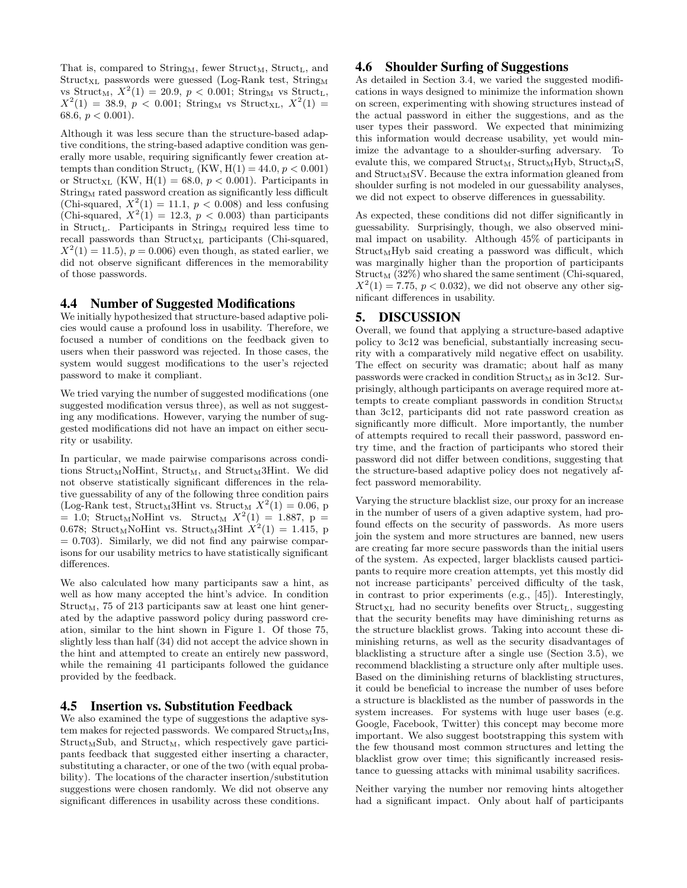That is, compared to String<sub>M</sub>, fewer Struct<sub>M</sub>, Struct<sub>L</sub>, and  $Struct_{XL}$  passwords were guessed (Log-Rank test, String<sub>M</sub> vs Struct<sub>M</sub>,  $X^2(1) = 20.9$ ,  $p < 0.001$ ; String<sub>M</sub> vs Struct<sub>L</sub>,  $X^2(1) = 38.9, p < 0.001$ ; String<sub>M</sub> vs Struct<sub>XL</sub>,  $X^2(1) =$ 68.6,  $p < 0.001$ ).

Although it was less secure than the structure-based adaptive conditions, the string-based adaptive condition was generally more usable, requiring significantly fewer creation attempts than condition Struct<sub>L</sub> (KW,  $H(1) = 44.0, p < 0.001$ ) or Struct<sub>XL</sub> (KW,  $H(1) = 68.0, p < 0.001$ ). Participants in  $String_M$  rated password creation as significantly less difficult (Chi-squared,  $X^2(1) = 11.1$ ,  $p < 0.008$ ) and less confusing (Chi-squared,  $X^2(1) = 12.3$ ,  $p < 0.003$ ) than participants in Struct<sub>L</sub>. Participants in String<sub>M</sub> required less time to recall passwords than  $Struct_{XL}$  participants (Chi-squared,  $X^2(1) = 11.5$ ,  $p = 0.006$ ) even though, as stated earlier, we did not observe significant differences in the memorability of those passwords.

#### 4.4 Number of Suggested Modifications

We initially hypothesized that structure-based adaptive policies would cause a profound loss in usability. Therefore, we focused a number of conditions on the feedback given to users when their password was rejected. In those cases, the system would suggest modifications to the user's rejected password to make it compliant.

We tried varying the number of suggested modifications (one suggested modification versus three), as well as not suggesting any modifications. However, varying the number of suggested modifications did not have an impact on either security or usability.

In particular, we made pairwise comparisons across conditions  $Struct_MNoHint$ ,  $Struct_M$ , and  $Struct_M3Hint$ . We did not observe statistically significant differences in the relative guessability of any of the following three condition pairs (Log-Rank test, Struct<sub>M</sub>3Hint vs. Struct<sub>M</sub>  $X^2(1) = 0.06$ , p  $= 1.0$ ; Struct<sub>M</sub>NoHint vs. Struct<sub>M</sub>  $X^2(1) = 1.887$ , p = 0.678; Struct<sub>M</sub>NoHint vs. Struct<sub>M</sub>3Hint  $X^2(1) = 1.415$ , p  $= 0.703$ . Similarly, we did not find any pairwise comparisons for our usability metrics to have statistically significant differences.

We also calculated how many participants saw a hint, as well as how many accepted the hint's advice. In condition  $Struct_M$ , 75 of 213 participants saw at least one hint generated by the adaptive password policy during password creation, similar to the hint shown in Figure 1. Of those 75, slightly less than half (34) did not accept the advice shown in the hint and attempted to create an entirely new password, while the remaining 41 participants followed the guidance provided by the feedback.

#### 4.5 Insertion vs. Substitution Feedback

We also examined the type of suggestions the adaptive system makes for rejected passwords. We compared  $Struct_MIns$ ,  $Struct_MSub$ , and  $Struct_M$ , which respectively gave participants feedback that suggested either inserting a character, substituting a character, or one of the two (with equal probability). The locations of the character insertion/substitution suggestions were chosen randomly. We did not observe any significant differences in usability across these conditions.

## 4.6 Shoulder Surfing of Suggestions

As detailed in Section 3.4, we varied the suggested modifications in ways designed to minimize the information shown on screen, experimenting with showing structures instead of the actual password in either the suggestions, and as the user types their password. We expected that minimizing this information would decrease usability, yet would minimize the advantage to a shoulder-surfing adversary. To evalute this, we compared  $Struct_M, Struct_MHyb, Struct_MS,$ and  $Struct_MSV$ . Because the extra information gleaned from shoulder surfing is not modeled in our guessability analyses, we did not expect to observe differences in guessability.

As expected, these conditions did not differ significantly in guessability. Surprisingly, though, we also observed minimal impact on usability. Although 45% of participants in  $Struct_MHyb$  said creating a password was difficult, which was marginally higher than the proportion of participants  $Struct_{M}$  (32%) who shared the same sentiment (Chi-squared,  $X^2(1) = 7.75, p < 0.032$ , we did not observe any other significant differences in usability.

#### 5. DISCUSSION

Overall, we found that applying a structure-based adaptive policy to 3c12 was beneficial, substantially increasing security with a comparatively mild negative effect on usability. The effect on security was dramatic; about half as many passwords were cracked in condition  $Struct_M$  as in 3c12. Surprisingly, although participants on average required more attempts to create compliant passwords in condition  $\operatorname{Struct}_\mathrm{M}$ than 3c12, participants did not rate password creation as significantly more difficult. More importantly, the number of attempts required to recall their password, password entry time, and the fraction of participants who stored their password did not differ between conditions, suggesting that the structure-based adaptive policy does not negatively affect password memorability.

Varying the structure blacklist size, our proxy for an increase in the number of users of a given adaptive system, had profound effects on the security of passwords. As more users join the system and more structures are banned, new users are creating far more secure passwords than the initial users of the system. As expected, larger blacklists caused participants to require more creation attempts, yet this mostly did not increase participants' perceived difficulty of the task, in contrast to prior experiments (e.g., [45]). Interestingly,  $Struct_{XL}$  had no security benefits over  $Struct_{L}$ , suggesting that the security benefits may have diminishing returns as the structure blacklist grows. Taking into account these diminishing returns, as well as the security disadvantages of blacklisting a structure after a single use (Section 3.5), we recommend blacklisting a structure only after multiple uses. Based on the diminishing returns of blacklisting structures, it could be beneficial to increase the number of uses before a structure is blacklisted as the number of passwords in the system increases. For systems with huge user bases (e.g. Google, Facebook, Twitter) this concept may become more important. We also suggest bootstrapping this system with the few thousand most common structures and letting the blacklist grow over time; this significantly increased resistance to guessing attacks with minimal usability sacrifices.

Neither varying the number nor removing hints altogether had a significant impact. Only about half of participants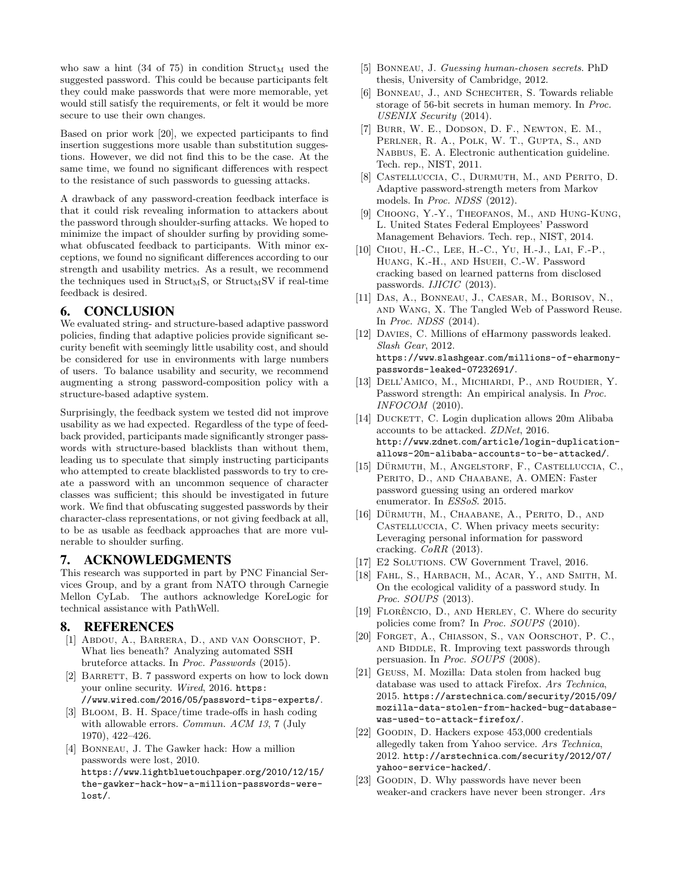who saw a hint (34 of 75) in condition  $Struct_M$  used the suggested password. This could be because participants felt they could make passwords that were more memorable, yet would still satisfy the requirements, or felt it would be more secure to use their own changes.

Based on prior work [20], we expected participants to find insertion suggestions more usable than substitution suggestions. However, we did not find this to be the case. At the same time, we found no significant differences with respect to the resistance of such passwords to guessing attacks.

A drawback of any password-creation feedback interface is that it could risk revealing information to attackers about the password through shoulder-surfing attacks. We hoped to minimize the impact of shoulder surfing by providing somewhat obfuscated feedback to participants. With minor exceptions, we found no significant differences according to our strength and usability metrics. As a result, we recommend the techniques used in  $Struct_MS$ , or  $Struct_MSV$  if real-time feedback is desired.

## 6. CONCLUSION

We evaluated string- and structure-based adaptive password policies, finding that adaptive policies provide significant security benefit with seemingly little usability cost, and should be considered for use in environments with large numbers of users. To balance usability and security, we recommend augmenting a strong password-composition policy with a structure-based adaptive system.

Surprisingly, the feedback system we tested did not improve usability as we had expected. Regardless of the type of feedback provided, participants made significantly stronger passwords with structure-based blacklists than without them, leading us to speculate that simply instructing participants who attempted to create blacklisted passwords to try to create a password with an uncommon sequence of character classes was sufficient; this should be investigated in future work. We find that obfuscating suggested passwords by their character-class representations, or not giving feedback at all, to be as usable as feedback approaches that are more vulnerable to shoulder surfing.

# 7. ACKNOWLEDGMENTS

This research was supported in part by PNC Financial Services Group, and by a grant from NATO through Carnegie Mellon CyLab. The authors acknowledge KoreLogic for technical assistance with PathWell.

## 8. REFERENCES

- [1] Abdou, A., Barrera, D., and van Oorschot, P. What lies beneath? Analyzing automated SSH bruteforce attacks. In Proc. Passwords (2015).
- [2] BARRETT, B. 7 password experts on how to lock down your online security. Wired, 2016. https: //www.wired.com/2016/05/password-tips-experts/.
- [3] BLOOM, B. H. Space/time trade-offs in hash coding with allowable errors. Commun. ACM 13, 7 (July 1970), 422–426.
- [4] Bonneau, J. The Gawker hack: How a million passwords were lost, 2010. https://www.lightbluetouchpaper.org/2010/12/15/ the-gawker-hack-how-a-million-passwords-werelost/.
- [5] Bonneau, J. Guessing human-chosen secrets. PhD thesis, University of Cambridge, 2012.
- [6] Bonneau, J., and Schechter, S. Towards reliable storage of 56-bit secrets in human memory. In Proc. USENIX Security (2014).
- [7] Burr, W. E., Dodson, D. F., Newton, E. M., Perlner, R. A., Polk, W. T., Gupta, S., and Nabbus, E. A. Electronic authentication guideline. Tech. rep., NIST, 2011.
- [8] Castelluccia, C., Durmuth, M., and Perito, D. Adaptive password-strength meters from Markov models. In Proc. NDSS (2012).
- [9] Choong, Y.-Y., Theofanos, M., and Hung-Kung, L. United States Federal Employees' Password Management Behaviors. Tech. rep., NIST, 2014.
- [10] CHOU, H.-C., LEE, H.-C., YU, H.-J., LAI, F.-P., Huang, K.-H., and Hsueh, C.-W. Password cracking based on learned patterns from disclosed passwords. IJICIC (2013).
- [11] Das, A., Bonneau, J., Caesar, M., Borisov, N., and Wang, X. The Tangled Web of Password Reuse. In Proc. NDSS (2014).
- [12] DAVIES, C. Millions of eHarmony passwords leaked. Slash Gear, 2012. https://www.slashgear.com/millions-of-eharmonypasswords-leaked-07232691/.
- [13] Dell'Amico, M., Michiardi, P., and Roudier, Y. Password strength: An empirical analysis. In Proc. INFOCOM (2010).
- [14] DUCKETT, C. Login duplication allows 20m Alibaba accounts to be attacked. ZDNet, 2016. http://www.zdnet.com/article/login-duplicationallows-20m-alibaba-accounts-to-be-attacked/.
- [15] DÜRMUTH, M., ANGELSTORF, F., CASTELLUCCIA, C., Perito, D., and Chaabane, A. OMEN: Faster password guessing using an ordered markov enumerator. In ESSoS. 2015.
- [16] DÜRMUTH, M., CHAABANE, A., PERITO, D., AND Castelluccia, C. When privacy meets security: Leveraging personal information for password cracking. CoRR (2013).
- [17] E2 SOLUTIONS. CW Government Travel, 2016.
- [18] Fahl, S., Harbach, M., Acar, Y., and Smith, M. On the ecological validity of a password study. In Proc. SOUPS (2013).
- [19] FLORÊNCIO, D., AND HERLEY, C. Where do security policies come from? In Proc. SOUPS (2010).
- [20] Forget, A., Chiasson, S., van Oorschot, P. C., and Biddle, R. Improving text passwords through persuasion. In Proc. SOUPS (2008).
- [21] Geuss, M. Mozilla: Data stolen from hacked bug database was used to attack Firefox. Ars Technica, 2015. https://arstechnica.com/security/2015/09/ mozilla-data-stolen-from-hacked-bug-databasewas-used-to-attack-firefox/.
- [22] GOODIN, D. Hackers expose 453,000 credentials allegedly taken from Yahoo service. Ars Technica, 2012. http://arstechnica.com/security/2012/07/ yahoo-service-hacked/.
- [23] GOODIN, D. Why passwords have never been weaker-and crackers have never been stronger. Ars